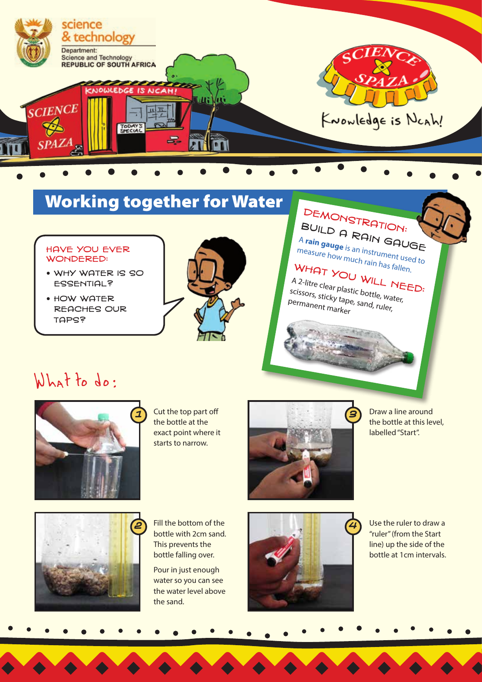

# Working together for Water

### Have you ever wondered:

- Why water is so **ESSENTIAL?**
- How water reaches our **TAPS?**



# DEMONSTRATION:<br>BUILD O

Build a Rain Gauge <sup>A</sup>**rain gauge** measure how much rain has fallen.  $\frac{1}{s}$  an instrument used to

 $W$ HAT YOU WILL NEED:<br>A 2-litre clear plastic bowl NEED: A 2-litre clear plastic bottle, water,<br>scissors, sticky tape, sand, ruler,<br>permanent <sub>markor</sub>, scissors, sticky tape, sand, ruler,<br>Permanent marker

## What to do:



the bottle at the exact point where it starts to narrow.



Draw a line around the bottle at this level, labelled "Start".



bottle with 2cm sand. This prevents the bottle falling over.

Pour in just enough water so you can see the water level above the sand.



Use the ruler to draw a "ruler" (from the Start line) up the side of the bottle at 1cm intervals.